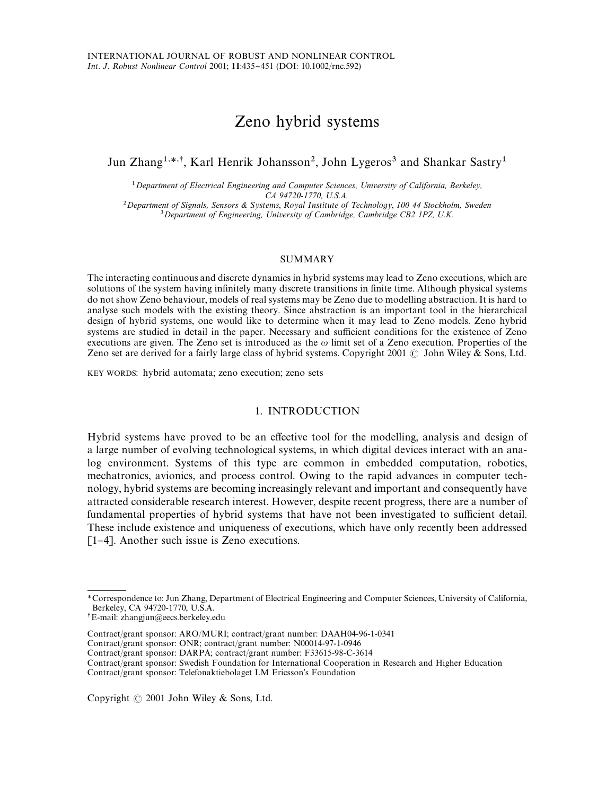# Zeno hybrid systems

## Jun Zhang<sup>1,\*,†</sup>, Karl Henrik Johansson<sup>2</sup>, John Lygeros<sup>3</sup> and Shankar Sastry<sup>1</sup>

*Department of Electrical Engineering and Computer Sciences, University of California, Berkeley, CA 94720-1770, U.S.A.*

<sup>2</sup> Department of Signals, Sensors & Systems, Royal Institute of Technology, 100 44 Stockholm, Sweden *Department of Engineering, University of Cambridge, Cambridge CB2 1PZ, U.K.*

#### SUMMARY

The interacting continuous and discrete dynamics in hybrid systems may lead to Zeno executions, which are solutions of the system having infinitely many discrete transitions in finite time. Although physical systems do not show Zeno behaviour, models of real systems may be Zeno due to modelling abstraction. It is hard to analyse such models with the existing theory. Since abstraction is an important tool in the hierarchical design of hybrid systems, one would like to determine when it may lead to Zeno models. Zeno hybrid systems are studied in detail in the paper. Necessary and sufficient conditions for the existence of Zeno executions are given. The Zeno set is introduced as the  $\omega$  limit set of a Zeno execution. Properties of the Zeno set are derived for a fairly large class of hybrid systems. Copyright 2001  $\odot$  John Wiley & Sons, Ltd.

KEY WORDS: hybrid automata; zeno execution; zeno sets

## 1. INTRODUCTION

Hybrid systems have proved to be an effective tool for the modelling, analysis and design of a large number of evolving technological systems, in which digital devices interact with an analog environment. Systems of this type are common in embedded computation, robotics, mechatronics, avionics, and process control. Owing to the rapid advances in computer technology, hybrid systems are becoming increasingly relevant and important and consequently have attracted considerable research interest. However, despite recent progress, there are a number of fundamental properties of hybrid systems that have not been investigated to sufficient detail. These include existence and uniqueness of executions, which have only recently been addressed [1-4]. Another such issue is Zeno executions.

Copyright  $\odot$  2001 John Wiley & Sons, Ltd.

*<sup>\*</sup>*Correspondence to: Jun Zhang, Department of Electrical Engineering and Computer Sciences, University of California, Berkeley, CA 94720-1770, U.S.A.

E-mail: zhangjun@eecs.berkeley.edu

Contract/grant sponsor: ARO/MURI; contract/grant number: DAAH04-96-1-0341

Contract/grant sponsor: ONR; contract/grant number: N00014-97-1-0946

Contract/grant sponsor: DARPA; contract/grant number: F33615-98-C-3614

Contract/grant sponsor: Swedish Foundation for International Cooperation in Research and Higher Education Contract/grant sponsor: Telefonaktiebolaget LM Ericsson's Foundation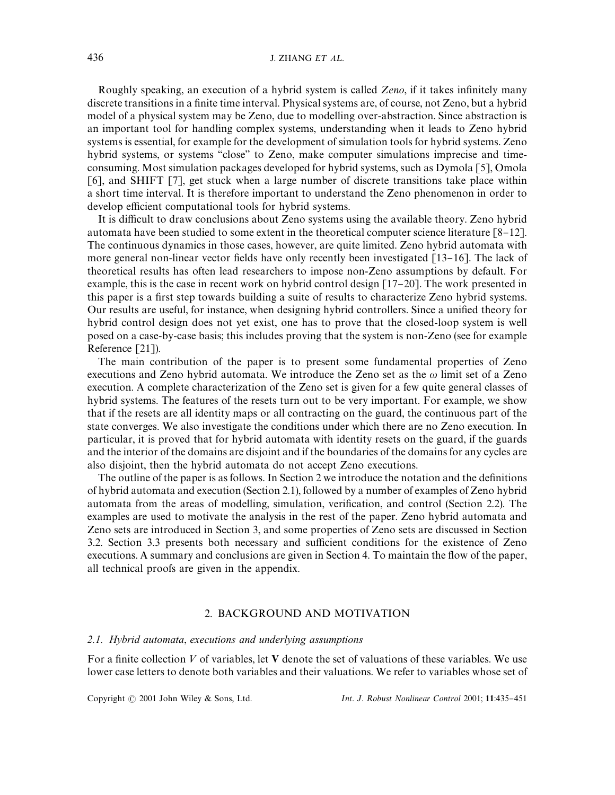## 436 **J. ZHANG** *ET AL*

Roughly speaking, an execution of a hybrid system is called *Zeno*, if it takes infinitely many discrete transitions in a finite time interval. Physical systems are, of course, not Zeno, but a hybrid model of a physical system may be Zeno, due to modelling over-abstraction. Since abstraction is an important tool for handling complex systems, understanding when it leads to Zeno hybrid systems is essential, for example for the development of simulation tools for hybrid systems. Zeno hybrid systems, or systems "close" to Zeno, make computer simulations imprecise and timeconsuming. Most simulation packages developed for hybrid systems, such as Dymola [5], Omola [6], and SHIFT [7], get stuck when a large number of discrete transitions take place within a short time interval. It is therefore important to understand the Zeno phenomenon in order to develop efficient computational tools for hybrid systems.

It is difficult to draw conclusions about Zeno systems using the available theory. Zeno hybrid automata have been studied to some extent in the theoretical computer science literature  $[8-12]$ . The continuous dynamics in those cases, however, are quite limited. Zeno hybrid automata with more general non-linear vector fields have only recently been investigated [13-16]. The lack of theoretical results has often lead researchers to impose non-Zeno assumptions by default. For example, this is the case in recent work on hybrid control design  $[17-20]$ . The work presented in this paper is a first step towards building a suite of results to characterize Zeno hybrid systems. Our results are useful, for instance, when designing hybrid controllers. Since a unified theory for hybrid control design does not yet exist, one has to prove that the closed-loop system is well posed on a case-by-case basis; this includes proving that the system is non-Zeno (see for example Reference [21]).

The main contribution of the paper is to present some fundamental properties of Zeno executions and Zeno hybrid automata. We introduce the Zeno set as the  $\omega$  limit set of a Zeno execution. A complete characterization of the Zeno set is given for a few quite general classes of hybrid systems. The features of the resets turn out to be very important. For example, we show that if the resets are all identity maps or all contracting on the guard, the continuous part of the state converges. We also investigate the conditions under which there are no Zeno execution. In particular, it is proved that for hybrid automata with identity resets on the guard, if the guards and the interior of the domains are disjoint and if the boundaries of the domains for any cycles are also disjoint, then the hybrid automata do not accept Zeno executions.

The outline of the paper is as follows. In Section 2 we introduce the notation and the definitions of hybrid automata and execution (Section 2.1), followed by a number of examples of Zeno hybrid automata from the areas of modelling, simulation, verification, and control (Section 2.2). The examples are used to motivate the analysis in the rest of the paper. Zeno hybrid automata and Zeno sets are introduced in Section 3, and some properties of Zeno sets are discussed in Section 3.2. Section 3.3 presents both necessary and sufficient conditions for the existence of Zeno executions. A summary and conclusions are given in Section 4. To maintain the flow of the paper, all technical proofs are given in the appendix.

## 2. BACKGROUND AND MOTIVATION

## *2.1. Hybrid automata*, *executions and underlying assumptions*

For a finite collection  $V$  of variables, let  $V$  denote the set of valuations of these variables. We use lower case letters to denote both variables and their valuations. We refer to variables whose set of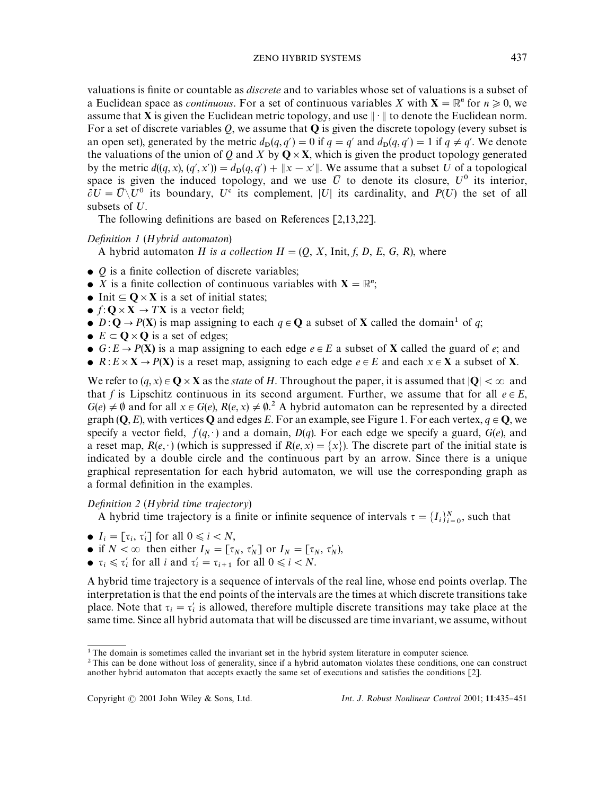valuations is "nite or countable as *discrete* and to variables whose set of valuations is a subset of a Euclidean space as *continuous*. For a set of continuous variables *X* with  $X = \mathbb{R}^n$  for  $n \ge 0$ , we assume that **X** is given the Euclidean metric topology, and use  $\|\cdot\|$  to denote the Euclidean norm. For a set of discrete variables *Q*, we assume that Q is given the discrete topology (every subset is an open set), generated by the metric  $d_p(q, q') = 0$  if  $q = q'$  and  $d_p(q, q') = 1$  if  $q \neq q'$ . We denote the valuations of the union of *Q* and *X* by  $Q \times X$ , which is given the product topology generated by the metric  $d((q, x), (q', x')) = d_D(q, q') + ||x - x'||$ . We assume that a subset U of a topological space is given the induced topology, and we use  $\bar{U}$  to denote its closure,  $U^0$  its interior,  $\hat{\theta}U = \overline{U}\backslash U^0$  its boundary,  $U^c$  its complement, |U| its cardinality, and *P*(U) the set of all subsets of  $U$ .

The following definitions are based on References  $[2,13,22]$ .

## *Definition 1* (*Hybrid automaton*)

A hybrid automaton *H* is a collection  $H = (Q, X, \text{Init}, f, D, E, G, R)$ , where

- $\bullet$  *Q* is a finite collection of discrete variables;
- *X* is a finite collection of continuous variables with  $X = \mathbb{R}^n$ ;
- Init  $\subseteq$  Q  $\times$  X is a set of initial states;
- $f: \mathbf{O} \times \mathbf{X} \rightarrow T\mathbf{X}$  is a vector field;
- $D: \mathbf{Q} \to P(\mathbf{X})$  is map assigning to each  $q \in \mathbf{Q}$  a subset of **X** called the domain<sup>1</sup> of *q*;
- $E \subset \mathbf{O} \times \mathbf{O}$  is a set of edges;
- $G: E \to P(X)$  is a map assigning to each edge  $e \in E$  a subset of X called the guard of *e*; and
- $R: E \times X \rightarrow P(X)$  is a reset map, assigning to each edge  $e \in E$  and each  $x \in X$  a subset of X.

We refer to  $(q, x) \in \mathbb{Q} \times \mathbb{X}$  as the *state* of *H*. Throughout the paper, it is assumed that  $|\mathbb{Q}| < \infty$  and that *f* is Lipschitz continuous in its second argument. Further, we assume that for all  $e \in E$ ,  $G(e) \neq \emptyset$  and for all  $x \in G(e)$ ,  $R(e, x) \neq \emptyset$ .<sup>2</sup> A hybrid automaton can be represented by a directed graph  $(Q, E)$ , with vertices Q and edges *E*. For an example, see Figure 1. For each vertex,  $q \in Q$ , we specify a vector field,  $f(q, \cdot)$  and a domain,  $D(q)$ . For each edge we specify a guard,  $G(e)$ , and a reset map,  $R(e, \cdot)$  (which is suppressed if  $R(e, x) = \{x\}$ ). The discrete part of the initial state is indicated by a double circle and the continuous part by an arrow. Since there is a unique graphical representation for each hybrid automaton, we will use the corresponding graph as a formal definition in the examples.

## *Definition* 2 (*Hybrid time trajectory*)

A hybrid time trajectory is a finite or infinite sequence of intervals  $\tau = \{I_i\}_{i=0}^N$ , such that

- $I_i = [\tau_i, \tau'_i]$  for all  $0 \le i \le N$ ,
- if  $N < \infty$  then either  $I_N = [\tau_N, \tau'_N]$  or  $I_N = [\tau_N, \tau'_N]$ ,
- $\tau_i \leq \tau'_i$  for all *i* and  $\tau'_i = \tau_{i+1}$  for all  $0 \leq i \leq N$ .

A hybrid time trajectory is a sequence of intervals of the real line, whose end points overlap. The interpretation is that the end points of the intervals are the times at which discrete transitions take place. Note that  $\tau_i = \tau'_i$  is allowed, therefore multiple discrete transitions may take place at the same time. Since all hybrid automata that will be discussed are time invariant, we assume, without

<sup>&</sup>lt;sup>1</sup> The domain is sometimes called the invariant set in the hybrid system literature in computer science.

 $2$ This can be done without loss of generality, since if a hybrid automaton violates these conditions, one can construct another hybrid automaton that accepts exactly the same set of executions and satisfies the conditions  $[2]$ .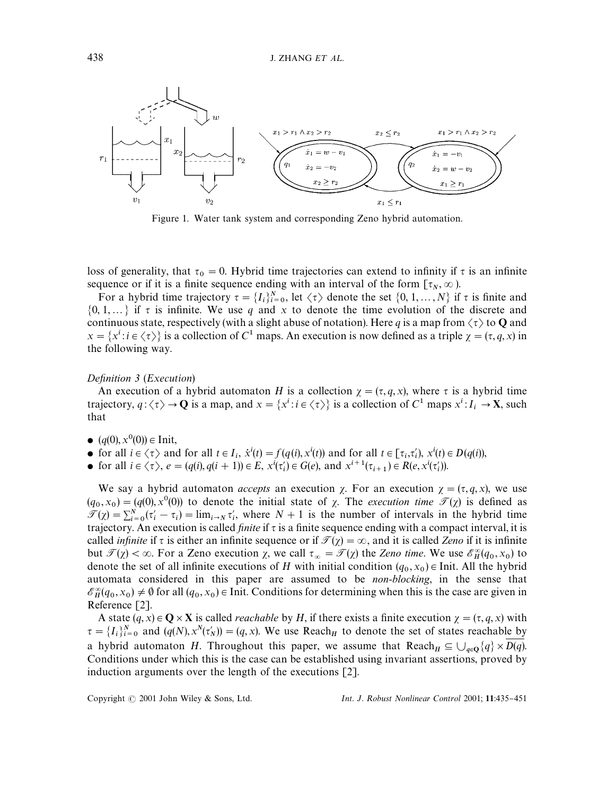

Figure 1. Water tank system and corresponding Zeno hybrid automation.

loss of generality, that  $\tau_0 = 0$ . Hybrid time trajectories can extend to infinity if  $\tau$  is an infinite sequence or if it is a finite sequence ending with an interval of the form  $[\tau_N, \infty)$ .

For a hybrid time trajectory  $\tau = \{I_i\}_{i=0}^N$ , let  $\langle \tau \rangle$  denote the set  $\{0, 1, ..., N\}$  if  $\tau$  is finite and  $\{0, 1, \ldots\}$  if  $\tau$  is infinite. We use  $q$  and  $x$  to denote the time evolution of the discrete and continuous state, respectively (with a slight abuse of notation). Here q is a map from  $\langle \tau \rangle$  to **Q** and  $x = \{x^i : i \in \langle \tau \rangle\}$  is a collection of  $C^1$  maps. An execution is now defined as a triple  $\chi = (\tau, q, x)$  in the following way.

#### *Definition 3* (*Execution*)

An execution of a hybrid automaton *H* is a collection  $\gamma = (\tau, q, x)$ , where  $\tau$  is a hybrid time trajectory,  $q: \langle \tau \rangle \to \mathbf{Q}$  is a map, and  $x = \{x^i : i \in \langle \tau \rangle\}$  is a collection of  $C^1$  maps  $x^i : I_i \to \mathbf{X}$ , such that

- $(q(0), x^0(0)) \in \text{Init},$
- for all  $i \in \langle \tau \rangle$  and for all  $t \in I_i$ ,  $\dot{x}^i(t) = f(q(i), x^i(t))$  and for all  $t \in [\tau_i, \tau'_i)$ ,  $x^i(t) \in D(q(i))$ ,
- for all  $i \in \langle \tau \rangle$ ,  $e = (q(i), q(i + 1)) \in E$ ,  $x^{i}(\tau_{i}') \in G(e)$ , and  $x^{i+1}(\tau_{i+1}) \in R(e, x^{i}(\tau_{i}'))$ .

We say a hybrid automaton *accepts* an execution  $\chi$ . For an execution  $\chi = (\tau, q, x)$ , we use  $(q_0, x_0) = (q(0), x^0(0))$  to denote the initial state of  $\chi$ . The *execution time*  $\mathcal{T}(\chi)$  is defined as  $\mathcal{T}(\chi) = \sum_{i=0}^{N} (\tau'_i - \tau_i) = \lim_{i \to N} \tau'_i$ , where  $N + 1$  is the number of intervals in the hybrid time trajectory. An execution is called *finite* if  $\tau$  is a finite sequence ending with a compact interval, it is called *infinite* if  $\tau$  is either an infinite sequence or if  $\mathcal{T}(\chi) = \infty$ , and it is called *Zeno* if it is infinite but  $\mathcal{T}(\chi) < \infty$ . For a Zeno execution  $\chi$ , we call  $\tau_{\infty} = \mathcal{T}(\chi)$  the *Zeno time*. We use  $\mathcal{E}_{H}^{\infty}(q_0, x_0)$  to denote the set of all infinite executions of *H* with initial condition  $(q_0, x_0) \in$  Init. All the hybrid automata considered in this paper are assumed to be *non-blocking*, in the sense that  $\mathscr{E}_{H}^{\infty}(q_0, x_0) \neq \emptyset$  for all  $(q_0, x_0) \in$  Init. Conditions for determining when this is the case are given in Reference [2].

A state  $(q, x) \in \mathbb{Q} \times \mathbb{X}$  is called *reachable* by *H*, if there exists a finite execution  $\chi = (\tau, q, x)$  with  $\tau = \{I_i\}_{i=0}^N$  and  $(q(N), x^N(\tau_N)) = (q, x)$ . We use Reach<sub>*H*</sub> to denote the set of states reachable by a hybrid automaton *H*. Throughout this paper, we assume that  $\text{Reach}_H \subseteq \bigcup_{q \in \mathbb{Q}} \{q\} \times \overline{D(q)}$ . Conditions under which this is the case can be established using invariant assertions, proved by induction arguments over the length of the executions [2].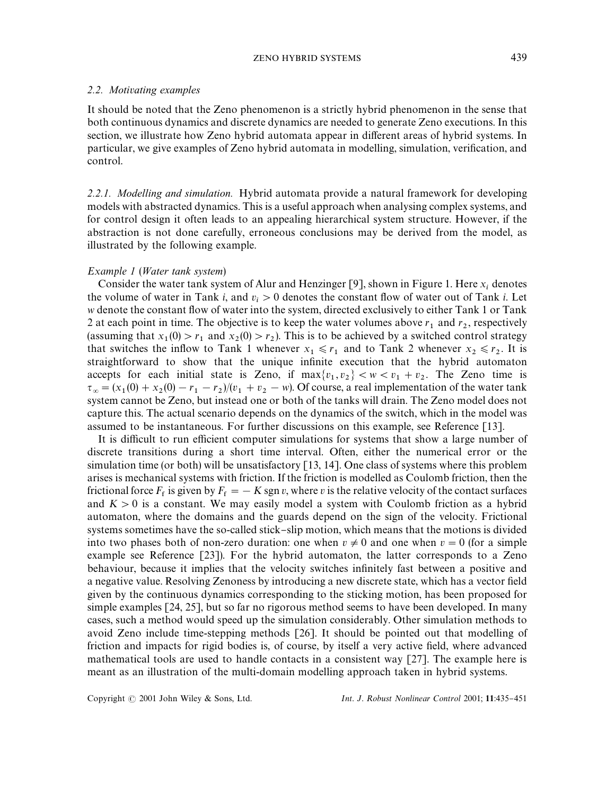## ZENO HYBRID SYSTEMS 439

## *2.2. Motivating examples*

It should be noted that the Zeno phenomenon is a strictly hybrid phenomenon in the sense that both continuous dynamics and discrete dynamics are needed to generate Zeno executions. In this section, we illustrate how Zeno hybrid automata appear in different areas of hybrid systems. In particular, we give examples of Zeno hybrid automata in modelling, simulation, verification, and control.

*2.2.1. Modelling and simulation.* Hybrid automata provide a natural framework for developing models with abstracted dynamics. This is a useful approach when analysing complex systems, and for control design it often leads to an appealing hierarchical system structure. However, if the abstraction is not done carefully, erroneous conclusions may be derived from the model, as illustrated by the following example.

## *Example 1* (*Water tank system*)

Consider the water tank system of Alur and Henzinger [9], shown in Figure 1. Here  $x_i$  denotes the volume of water in Tank *i*, and  $v_i > 0$  denotes the constant flow of water out of Tank *i*. Let w denote the constant flow of water into the system, directed exclusively to either Tank 1 or Tank 2 at each point in time. The objective is to keep the water volumes above  $r_1$  and  $r_2$ , respectively (assuming that  $x_1(0) > r_1$  and  $x_2(0) > r_2$ ). This is to be achieved by a switched control strategy that switches the inflow to Tank 1 whenever  $x_1 \le r_1$  and to Tank 2 whenever  $x_2 \le r_2$ . It is straightforward to show that the unique infinite execution that the hybrid automaton accepts for each initial state is Zeno, if  $\max\{v_1, v_2\} < w < v_1 + v_2$ . The Zeno time is  $\tau_{\infty} = (x_1(0) + x_2(0) - r_1 - r_2)/(v_1 + v_2 - w)$ . Of course, a real implementation of the water tank system cannot be Zeno, but instead one or both of the tanks will drain. The Zeno model does not capture this. The actual scenario depends on the dynamics of the switch, which in the model was assumed to be instantaneous. For further discussions on this example, see Reference [13].

It is difficult to run efficient computer simulations for systems that show a large number of discrete transitions during a short time interval. Often, either the numerical error or the simulation time (or both) will be unsatisfactory [13, 14]. One class of systems where this problem arises is mechanical systems with friction. If the friction is modelled as Coulomb friction, then the frictional force  $F_f$  is given by  $F_f = -K \operatorname{sgn} v$ , where *v* is the relative velocity of the contact surfaces and  $K > 0$  is a constant. We may easily model a system with Coulomb friction as a hybrid automaton, where the domains and the guards depend on the sign of the velocity. Frictional systems sometimes have the so-called stick-slip motion, which means that the motions is divided into two phases both of non-zero duration: one when  $v \neq 0$  and one when  $v = 0$  (for a simple example see Reference [23]). For the hybrid automaton, the latter corresponds to a Zeno behaviour, because it implies that the velocity switches infinitely fast between a positive and a negative value. Resolving Zenoness by introducing a new discrete state, which has a vector field given by the continuous dynamics corresponding to the sticking motion, has been proposed for simple examples [24, 25], but so far no rigorous method seems to have been developed. In many cases, such a method would speed up the simulation considerably. Other simulation methods to avoid Zeno include time-stepping methods [26]. It should be pointed out that modelling of friction and impacts for rigid bodies is, of course, by itself a very active "eld, where advanced mathematical tools are used to handle contacts in a consistent way [27]. The example here is meant as an illustration of the multi-domain modelling approach taken in hybrid systems.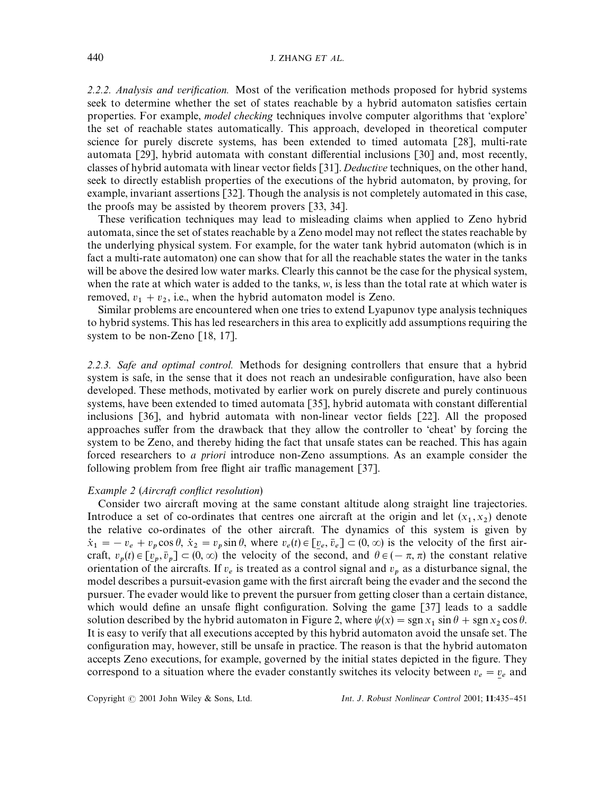2.2.2. Analysis and *verification*. Most of the verification methods proposed for hybrid systems seek to determine whether the set of states reachable by a hybrid automaton satisfies certain properties. For example, *model checking* techniques involve computer algorithms that 'explore' the set of reachable states automatically. This approach, developed in theoretical computer science for purely discrete systems, has been extended to timed automata [28], multi-rate automata [29], hybrid automata with constant differential inclusions [30] and, most recently, classes of hybrid automata with linear vector fields [31]. *Deductive* techniques, on the other hand, seek to directly establish properties of the executions of the hybrid automaton, by proving, for example, invariant assertions [32]. Though the analysis is not completely automated in this case, the proofs may be assisted by theorem provers [33, 34].

These verification techniques may lead to misleading claims when applied to Zeno hybrid automata, since the set of states reachable by a Zeno model may not reflect the states reachable by the underlying physical system. For example, for the water tank hybrid automaton (which is in fact a multi-rate automaton) one can show that for all the reachable states the water in the tanks will be above the desired low water marks. Clearly this cannot be the case for the physical system, when the rate at which water is added to the tanks, *w*, is less than the total rate at which water is removed,  $v_1 + v_2$ , i.e., when the hybrid automaton model is Zeno.

Similar problems are encountered when one tries to extend Lyapunov type analysis techniques to hybrid systems. This has led researchers in this area to explicitly add assumptions requiring the system to be non-Zeno [18, 17].

*2.2.3. Safe and optimal control.* Methods for designing controllers that ensure that a hybrid system is safe, in the sense that it does not reach an undesirable configuration, have also been developed. These methods, motivated by earlier work on purely discrete and purely continuous systems, have been extended to timed automata  $[35]$ , hybrid automata with constant differential inclusions [36], and hybrid automata with non-linear vector fields [22]. All the proposed approaches suffer from the drawback that they allow the controller to 'cheat' by forcing the system to be Zeno, and thereby hiding the fact that unsafe states can be reached. This has again forced researchers to *a priori* introduce non-Zeno assumptions. As an example consider the following problem from free flight air traffic management  $[37]$ .

#### *Example* 2 (*Aircraft conflict resolution*)

Consider two aircraft moving at the same constant altitude along straight line trajectories. Introduce a set of co-ordinates that centres one aircraft at the origin and let  $(x_1, x_2)$  denote the relative co-ordinates of the other aircraft. The dynamics of this system is given by  $\dot{x}_1 = -v_e + v_p \cos \theta$ ,  $\dot{x}_2 = v_p \sin \theta$ , where  $v_e(t) \in [v_e, \bar{v}_e] \subset (0, \infty)$  is the velocity of the first aircraft,  $v_p(t) \in [\underline{v}_p, \overline{v}_p] \subset (0,\infty)$  the velocity of the second, and  $\theta \in (-\pi, \pi)$  the constant relative -<br>6 orientation of the aircrafts. If  $v_e$  is treated as a control signal and  $v_p$  as a disturbance signal, the ֺ֝֡ model describes a pursuit-evasion game with the first aircraft being the evader and the second the pursuer. The evader would like to prevent the pursuer from getting closer than a certain distance, which would define an unsafe flight configuration. Solving the game  $\lceil 37 \rceil$  leads to a saddle solution described by the hybrid automaton in Figure 2, where  $\psi(x) = \text{sgn } x_1 \sin \theta + \text{sgn } x_2 \cos \theta$ . It is easy to verify that all executions accepted by this hybrid automaton avoid the unsafe set. The configuration may, however, still be unsafe in practice. The reason is that the hybrid automaton accepts Zeno executions, for example, governed by the initial states depicted in the figure. They correspond to a situation where the evader constantly switches its velocity between  $v_e = v_e$  and ׅׅׅ֪ׅ֡֡֬֝֬֝֬֝֬֝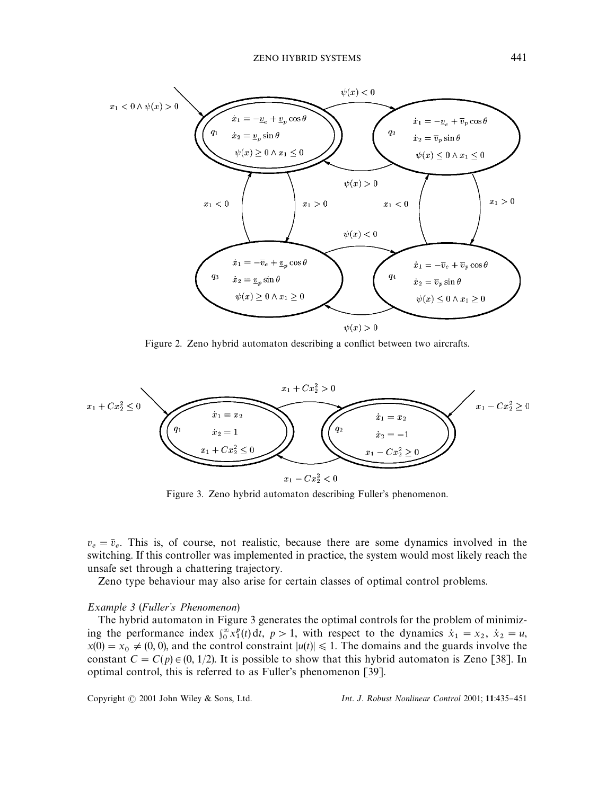

Figure 2. Zeno hybrid automaton describing a conflict between two aircrafts.



Figure 3. Zeno hybrid automaton describing Fuller's phenomenon.

 $v_e = \bar{v}_e$ . This is, of course, not realistic, because there are some dynamics involved in the switching. If this controller was implemented in practice, the system would most likely reach the unsafe set through a chattering trajectory.

Zeno type behaviour may also arise for certain classes of optimal control problems.

#### *Example* 3 (*Fuller's Phenomenon*)

The hybrid automaton in Figure 3 generates the optimal controls for the problem of minimizing the performance index  $\int_0^{\infty} x_1^p(t) dt$ ,  $p > 1$ , with respect to the dynamics  $\dot{x}_1 = x_2$ ,  $\dot{x}_2 = u$ ,  $x(0) = x_0 \neq (0, 0)$ , and the control constraint  $|u(t)| \le 1$ . The domains and the guards involve the constant  $C = C(p) \in (0, 1/2)$ . It is possible to show that this hybrid automaton is Zeno [38]. In optimal control, this is referred to as Fuller's phenomenon [39].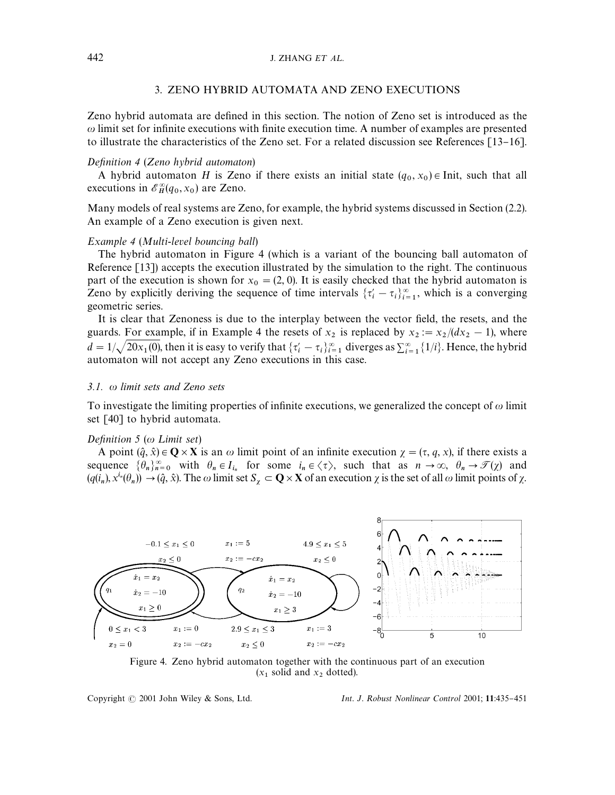## 3. ZENO HYBRID AUTOMATA AND ZENO EXECUTIONS

Zeno hybrid automata are defined in this section. The notion of Zeno set is introduced as the  $\omega$  limit set for infinite executions with finite execution time. A number of examples are presented to illustrate the characteristics of the Zeno set. For a related discussion see References  $\lceil 13-16 \rceil$ .

## *Definition 4 (Zeno hybrid automaton)*

A hybrid automaton *H* is Zeno if there exists an initial state  $(q_0, x_0) \in$  Init, such that all executions in  $\mathscr{E}_H^{\infty}(q_0, x_0)$  are Zeno.

Many models of real systems are Zeno, for example, the hybrid systems discussed in Section (2.2). An example of a Zeno execution is given next.

## *Example 4* (*Multi*-*level bouncing ball*)

The hybrid automaton in Figure 4 (which is a variant of the bouncing ball automaton of Reference [13]) accepts the execution illustrated by the simulation to the right. The continuous part of the execution is shown for  $x_0 = (2, 0)$ . It is easily checked that the hybrid automaton is Zeno by explicitly deriving the sequence of time intervals  $\{\tau_i' - \tau_i\}_{i=1}^{\infty}$ , which is a converging geometric series.

It is clear that Zenoness is due to the interplay between the vector field, the resets, and the guards. For example, if in Example 4 the resets of  $x_2$  is replaced by  $x_2 := x_2/(dx_2 - 1)$ , where  $d = 1/\sqrt{20x_1(0)}$ , then it is easy to verify that  $\{\tau_i' - \tau_i\}_{i=1}^{\infty}$  diverges as  $\sum_{i=1}^{\infty} \{1/i\}$ . Hence, the hybrid automaton will not accept any Zeno executions in this case.

#### *3.1. limit sets and Zeno sets*

To investigate the limiting properties of infinite executions, we generalized the concept of  $\omega$  limit set [40] to hybrid automata.

#### *Definition 5* (ω Limit set)

A point  $(\hat{q}, \hat{x}) \in \mathbf{Q} \times \mathbf{X}$  is an  $\omega$  limit point of an infinite execution  $\chi = (\tau, q, x)$ , if there exists a sequence  $\{\theta_n\}_{n=0}^{\infty}$  with  $\theta_n \in I_{i_n}$  for some  $i_n \in \langle \tau \rangle$ , such that as  $n \to \infty$ ,  $\theta_n \to \mathcal{T}(\chi)$  and  $(q(\hat{i}_n), x^{i_n}(\theta_n)) \to (\hat{q}, \hat{x})$ . The  $\omega$  limit set  $S_\chi \subset \mathbf{Q} \times \mathbf{X}$  of an execution  $\chi$  is the set of all  $\omega$  limit points of  $\chi$ .



Figure 4. Zeno hybrid automaton together with the continuous part of an execution  $(x_1 \text{ solid and } x_2 \text{ dotted}).$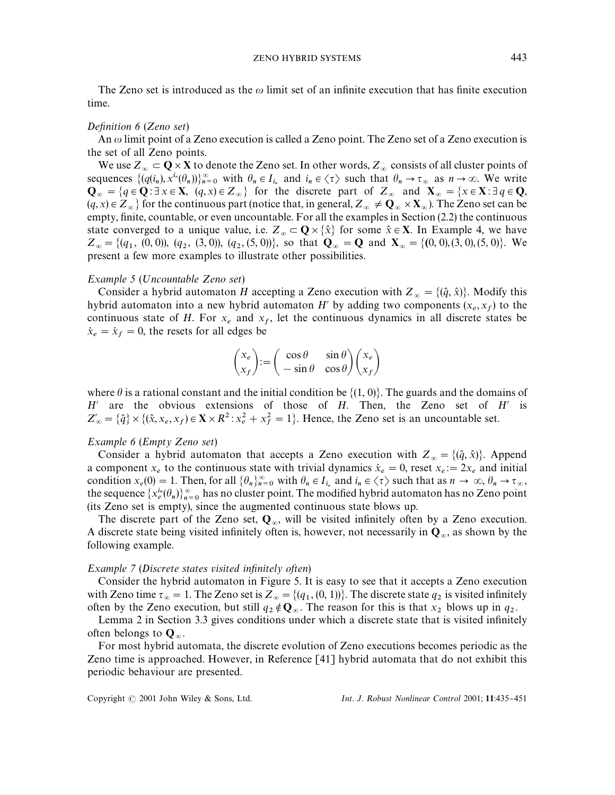The Zeno set is introduced as the  $\omega$  limit set of an infinite execution that has finite execution time.

#### *Definition 6* (*Zeno set*)

An  $\omega$  limit point of a Zeno execution is called a Zeno point. The Zeno set of a Zeno execution is the set of all Zeno points.

We use  $Z_\infty \subset \mathbf{Q} \times \mathbf{X}$  to denote the Zeno set. In other words,  $Z_\infty$  consists of all cluster points of sequences  $\{(q(i_n), x^{i_n}(\theta_n))\}_{n=0}^{\infty}$  with  $\theta_n \in I_{i_n}$  and  $i_n \in \langle \tau \rangle$  such that  $\theta_n \to \tau_{\infty}$  as  $n \to \infty$ . We write  $\mathbf{Q}_{\infty} = \{q \in \mathbf{Q} : \exists x \in \mathbf{X}, (q, x) \in Z_{\infty}\}\)$  for the discrete part of  $Z_{\infty}$  and  $\mathbf{X}_{\infty} = \{x \in \mathbf{X} : \exists q \in \mathbf{Q}, (q, x) \in Z_{\infty}\}$  $(q, x) \in Z_\infty$  for the continuous part (notice that, in general,  $Z_\infty \neq \mathbf{Q}_\infty \times \mathbf{X}_\infty$ ). The Zeno set can be empty, finite, countable, or even uncountable. For all the examples in Section (2.2) the continuous state converged to a unique value, i.e.  $Z_\infty \subset \mathbb{Q} \times \{\hat{x}\}\$  for some  $\hat{x} \in \mathbb{X}$ . In Example 4, we have  $Z_{\infty} = \{(q_1, (0, 0)), (q_2, (3, 0)), (q_2, (5, 0))\}$ , so that  $Q_{\infty} = Q$  and  $X_{\infty} = \{(0, 0), (3, 0), (5, 0)\}$ . We present a few more examples to illustrate other possibilities.

## *Example 5* (;*ncountable Zeno set*)

Consider a hybrid automaton *H* accepting a Zeno execution with  $Z_{\infty} = \{(\hat{q}, \hat{x})\}$ . Modify this hybrid automaton into a new hybrid automaton  $H'$  by adding two components  $(x_e, x_f)$  to the continuous state of *H*. For  $x_e$  and  $x_f$ , let the continuous dynamics in all discrete states be  $\dot{x}_e = \dot{x}_f = 0$ , the resets for all edges be

$$
\begin{pmatrix} x_e \\ x_f \end{pmatrix} := \begin{pmatrix} \cos \theta & \sin \theta \\ -\sin \theta & \cos \theta \end{pmatrix} \begin{pmatrix} x_e \\ x_f \end{pmatrix}
$$

where  $\theta$  is a rational constant and the initial condition be  $\{(1, 0)\}$ . The guards and the domains of *H* are the obvious extensions of those of *H*. Then, the Zeno set of *H* is  $Z'_{\infty} = \{\hat{q}\}\times\{(\hat{x}, x_e, x_f) \in \mathbf{X} \times R^2 : x_e^2 + x_f^2 = 1\}.$  Hence, the Zeno set is an uncountable set.

## *Example 6* (*Empty Zeno set*)

Consider a hybrid automaton that accepts a Zeno execution with  $Z_{\infty} = \{(\hat{q}, \hat{x})\}$ . Append a component  $x_e$  to the continuous state with trivial dynamics  $\dot{x}_e = 0$ , reset  $x_e := 2x_e$  and initial condition  $x_e(0) = 1$ . Then, for all  $\{\theta_n\}_{n=0}^{\infty}$  with  $\theta_n \in I_{i_n}$  and  $i_n \in \langle \tau \rangle$  such that as  $n \to \infty$ ,  $\theta_n \to \tau_\infty$ , the sequence  $\{x_e^{in}(\theta_n)\}_{n=0}^{\infty}$  has no cluster point. The modified hybrid automaton has no Zeno point (its Zeno set is empty), since the augmented continuous state blows up.

The discrete part of the Zeno set,  $Q_{\infty}$ , will be visited infinitely often by a Zeno execution. A discrete state being visited infinitely often is, however, not necessarily in  $\mathbf{Q}_{\infty}$ , as shown by the following example.

#### *Example 7* (*Discrete states visitedin*,*nitely often*)

Consider the hybrid automaton in Figure 5. It is easy to see that it accepts a Zeno execution with Zeno time  $\tau_{\infty} = 1$ . The Zeno set is  $Z_{\infty} = \{(q_1, (0, 1))\}$ . The discrete state  $q_2$  is visited infinitely often by the Zeno execution, but still  $q_2 \notin \mathbf{Q}_{\infty}$ . The reason for this is that  $x_2$  blows up in  $q_2$ .

Lemma 2 in Section 3.3 gives conditions under which a discrete state that is visited infinitely often belongs to  $\mathbf{Q}_{\infty}$ .

For most hybrid automata, the discrete evolution of Zeno executions becomes periodic as the Zeno time is approached. However, in Reference [41] hybrid automata that do not exhibit this periodic behaviour are presented.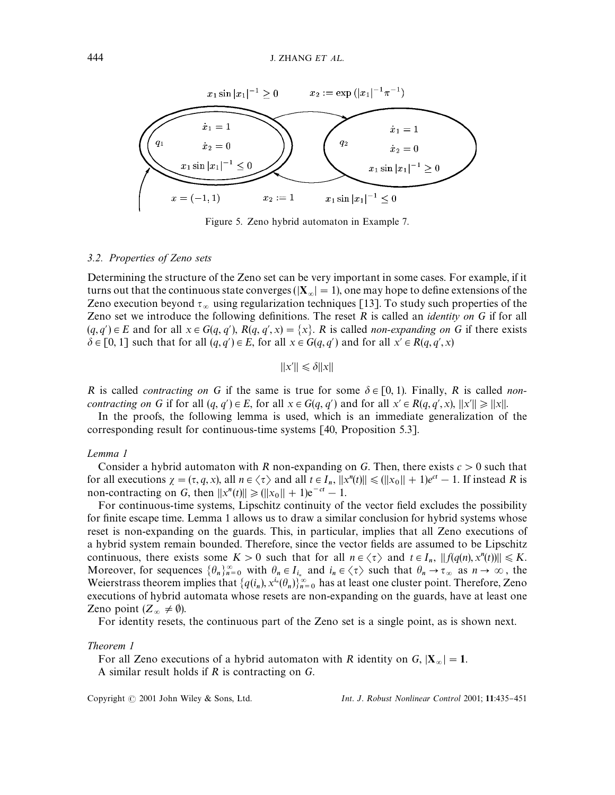

Figure 5. Zeno hybrid automaton in Example 7.

#### *3.2. Properties of Zeno sets*

Determining the structure of the Zeno set can be very important in some cases. For example, if it turns out that the continuous state converges ( $|\mathbf{X}_{\infty}| = 1$ ), one may hope to define extensions of the Zeno execution beyond  $\tau_{\infty}$  using regularization techniques [13]. To study such properties of the Zeno set we introduce the following definitions. The reset  $R$  is called an *identity on*  $G$  if for all  $(q, q') \in E$  and for all  $x \in G(q, q')$ ,  $R(q, q', x) = \{x\}$ . *R* is called *non-expanding on G* if there exists  $\delta \in [0, 1]$  such that for all  $(q, q') \in E$ , for all  $x \in G(q, q')$  and for all  $x' \in R(q, q', x)$ 

 $||x'|| \leq \delta ||x||$ 

*R* is called *contracting on G* if the same is true for some  $\delta \in [0, 1]$ . Finally, *R* is called *noncontracting on G* if for all  $(q, q') \in E$ , for all  $x \in G(q, q')$  and for all  $x' \in R(q, q', x)$ ,  $||x'|| \ge ||x||$ .

In the proofs, the following lemma is used, which is an immediate generalization of the corresponding result for continuous-time systems [40, Proposition 5.3].

#### *Lemma 1*

Consider a hybrid automaton with *R* non-expanding on *G*. Then, there exists  $c > 0$  such that for all executions  $\chi = (\tau, q, x)$ , all  $n \in \langle \tau \rangle$  and all  $t \in I_n$ ,  $||x^n(t)|| \leq (||x_0|| + 1)e^{ct} - 1$ . If instead *R* is non-contracting on *G*, then  $||x^n(t)|| \ge ||x_0|| + 1)e^{-ct} - 1$ .

For continuous-time systems, Lipschitz continuity of the vector field excludes the possibility for finite escape time. Lemma 1 allows us to draw a similar conclusion for hybrid systems whose reset is non-expanding on the guards. This, in particular, implies that all Zeno executions of a hybrid system remain bounded. Therefore, since the vector fields are assumed to be Lipschitz continuous, there exists some  $K > 0$  such that for all  $n \in \langle \tau \rangle$  and  $t \in I_n$ ,  $||f(q(n), x^n(t))|| \le K$ . Moreover, for sequences  $\{\theta_n\}_{n=0}^{\infty}$  with  $\theta_n \in I_{i_n}$  and  $i_n \in \langle \tau \rangle$  such that  $\theta_n \to \tau_{\infty}$  as  $n \to \infty$ , the Weierstrass theorem implies that  $\{q(i_n), x^{i_n}(\theta_n)\}_{n=0}^{\infty}$  has at least one cluster point. Therefore, Zeno executions of hybrid automata whose resets are non-expanding on the guards, have at least one Zeno point  $(Z_{\infty} \neq \emptyset)$ .

For identity resets, the continuous part of the Zeno set is a single point, as is shown next.

## *Theorem 1*

For all Zeno executions of a hybrid automaton with *R* identity on  $G$ ,  $|\mathbf{X}_{\infty}| = 1$ . A similar result holds if *R* is contracting on *G*.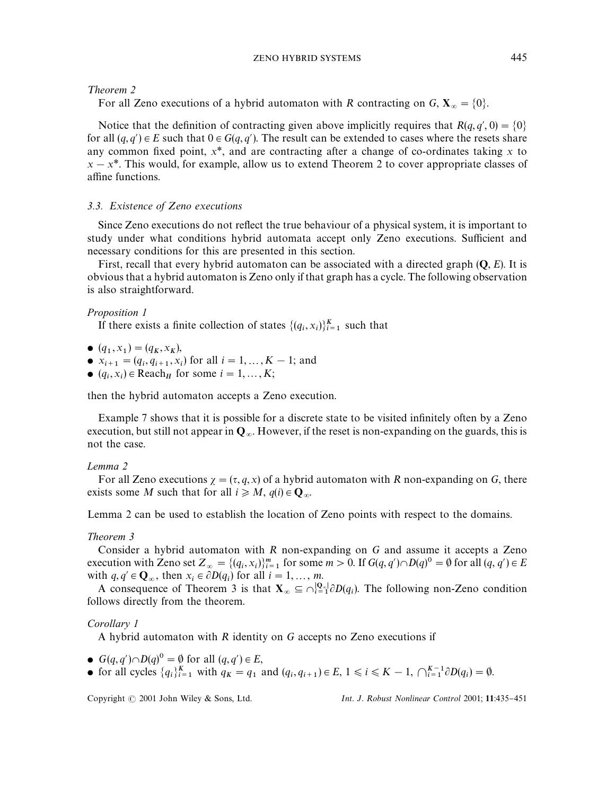¹*heorem 2*

For all Zeno executions of a hybrid automaton with *R* contracting on *G*,  $X_{\infty} = \{0\}$ .

Notice that the definition of contracting given above implicitly requires that  $R(q, q', 0) = \{0\}$ for all  $(q, q') \in E$  such that  $0 \in G(q, q')$ . The result can be extended to cases where the resets share any common fixed point,  $x^*$ , and are contracting after a change of co-ordinates taking  $x$  to  $x - x^*$ . This would, for example, allow us to extend Theorem 2 to cover appropriate classes of affine functions.

## *3.3. Existence of Zeno executions*

Since Zeno executions do not reflect the true behaviour of a physical system, it is important to study under what conditions hybrid automata accept only Zeno executions. Sufficient and necessary conditions for this are presented in this section.

First, recall that every hybrid automaton can be associated with a directed graph (Q, *E*). It is obvious that a hybrid automaton is Zeno only if that graph has a cycle. The following observation is also straightforward.

## *Proposition 1*

If there exists a finite collection of states  $\{(q_i, x_i)\}_{i=1}^K$  such that

- $(q_1, x_1) = (q_K, x_K)$ ,
- $x_{i+1} = (q_i, q_{i+1}, x_i)$  for all  $i = 1, ..., K 1$ ; and
- $(q_i, x_i) \in \text{Reach}_H$  for some  $i = 1, ..., K;$

then the hybrid automaton accepts a Zeno execution.

Example 7 shows that it is possible for a discrete state to be visited infinitely often by a Zeno execution, but still not appear in  $\mathbf{Q}_{\infty}$ . However, if the reset is non-expanding on the guards, this is not the case.

## *Lemma 2*

For all Zeno executions  $\gamma = (\tau, q, x)$  of a hybrid automaton with *R* non-expanding on *G*, there exists some *M* such that for all  $i \ge M$ ,  $q(i) \in \mathbf{Q}_{\infty}$ .

Lemma 2 can be used to establish the location of Zeno points with respect to the domains.

## *Theorem 3*

Consider a hybrid automaton with *R* non-expanding on *G* and assume it accepts a Zeno execution with Zeno set  $Z_{\infty} = \{(q_i, x_i)\}_{i=1}^m$  for some  $m > 0$ . If  $G(q, q') \cap D(q)^0 = \emptyset$  for all  $(q, q') \in E$ with  $q, q' \in \mathbf{Q}_{\infty}$ , then  $x_i \in \partial D(q_i)$  for all  $i = 1, \ldots, m$ .

A consequence of Theorem 3 is that  $\mathbf{X}_{\infty} \subseteq \bigcap_{i=1}^{\mathbf{Q}_{\infty}} \partial D(q_i)$ . The following non-Zeno condition follows directly from the theorem.

## *Corollary 1*

A hybrid automaton with *R* identity on *G* accepts no Zeno executions if

- $G(q, q') \cap D(q)^0 = \emptyset$  for all  $(q, q') \in E$ ,
- for all cycles  $\{q_i\}_{i=1}^K$  with  $q_K = q_1$  and  $(q_i, q_{i+1}) \in E$ ,  $1 \le i \le K 1$ ,  $\bigcap_{i=1}^{K-1} \partial D(q_i) = \emptyset$ .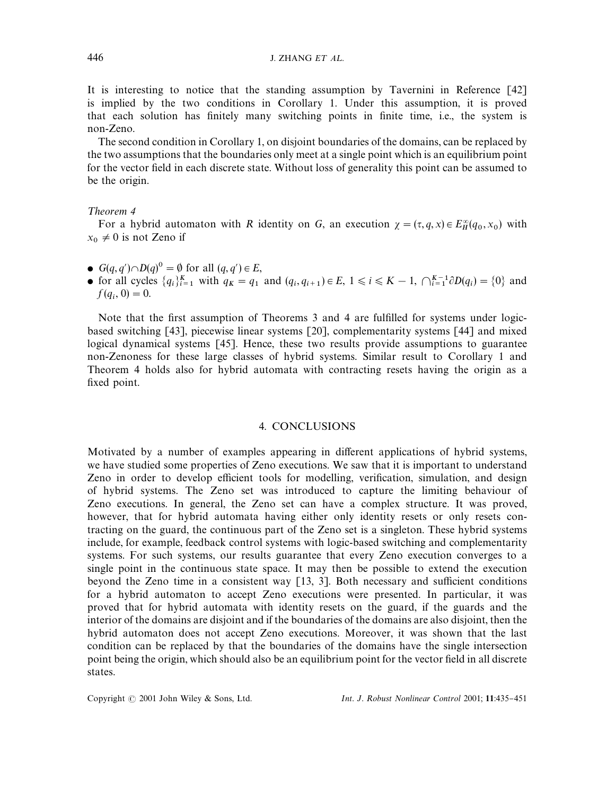It is interesting to notice that the standing assumption by Tavernini in Reference [42] is implied by the two conditions in Corollary 1. Under this assumption, it is proved that each solution has finitely many switching points in finite time, i.e., the system is non-Zeno.

The second condition in Corollary 1, on disjoint boundaries of the domains, can be replaced by the two assumptions that the boundaries only meet at a single point which is an equilibrium point for the vector field in each discrete state. Without loss of generality this point can be assumed to be the origin.

### ¹*heorem 4*

For a hybrid automaton with *R* identity on *G*, an execution  $\chi = (\tau, q, x) \in E_H^{\infty}(q_0, x_0)$  with  $x_0 \neq 0$  is not Zeno if

- $G(q, q') \cap D(q)^0 = \emptyset$  for all  $(q, q') \in E$ ,
- for all cycles  $\{q_i\}_{i=1}^K$  with  $q_K = q_1$  and  $(q_i, q_{i+1}) \in E$ ,  $1 \le i \le K 1$ ,  $\bigcap_{i=1}^{K-1} \partial D(q_i) = \{0\}$  and  $f(q_i, 0) = 0.$

Note that the first assumption of Theorems 3 and 4 are fulfilled for systems under logicbased switching [43], piecewise linear systems [20], complementarity systems [44] and mixed logical dynamical systems [45]. Hence, these two results provide assumptions to guarantee non-Zenoness for these large classes of hybrid systems. Similar result to Corollary 1 and Theorem 4 holds also for hybrid automata with contracting resets having the origin as a fixed point.

#### 4. CONCLUSIONS

Motivated by a number of examples appearing in different applications of hybrid systems, we have studied some properties of Zeno executions. We saw that it is important to understand Zeno in order to develop efficient tools for modelling, verification, simulation, and design of hybrid systems. The Zeno set was introduced to capture the limiting behaviour of Zeno executions. In general, the Zeno set can have a complex structure. It was proved, however, that for hybrid automata having either only identity resets or only resets contracting on the guard, the continuous part of the Zeno set is a singleton. These hybrid systems include, for example, feedback control systems with logic-based switching and complementarity systems. For such systems, our results guarantee that every Zeno execution converges to a single point in the continuous state space. It may then be possible to extend the execution beyond the Zeno time in a consistent way  $[13, 3]$ . Both necessary and sufficient conditions for a hybrid automaton to accept Zeno executions were presented. In particular, it was proved that for hybrid automata with identity resets on the guard, if the guards and the interior of the domains are disjoint and if the boundaries of the domains are also disjoint, then the hybrid automaton does not accept Zeno executions. Moreover, it was shown that the last condition can be replaced by that the boundaries of the domains have the single intersection point being the origin, which should also be an equilibrium point for the vector field in all discrete states.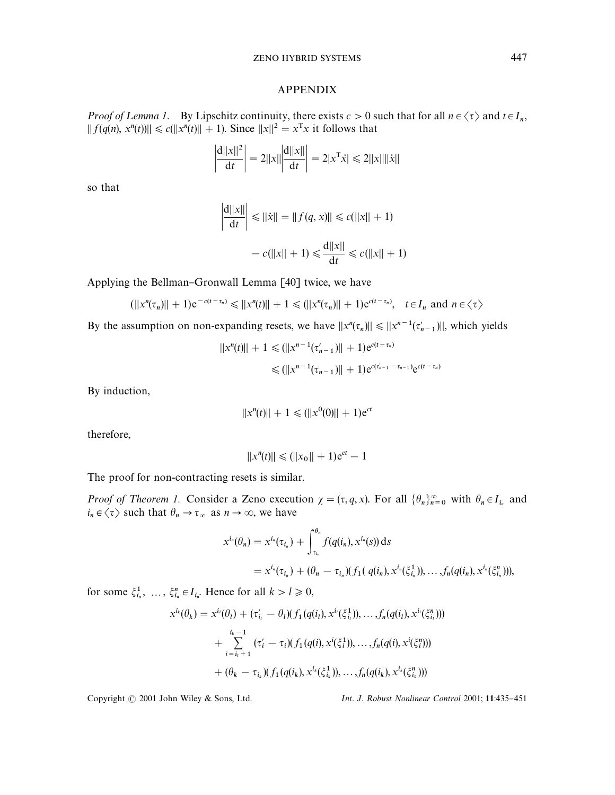## APPENDIX

*Proof of Lemma 1.* By Lipschitz continuity, there exists  $c > 0$  such that for all  $n \in \langle \tau \rangle$  and  $t \in I_n$ ,  $|| f(q(n), x^n(t) )|| \le c(||x^n(t)|| + 1)$ . Since  $||x||^2 = x^T x$  it follows that

$$
\left| \frac{d||x||^2}{dt} \right| = 2||x|| \left| \frac{d||x||}{dt} \right| = 2|x^T \dot{x}| \le 2||x||||\dot{x}||
$$

so that

$$
\left| \frac{d||x||}{dt} \right| \le ||\dot{x}|| = ||f(q, x)|| \le c(||x|| + 1)
$$

$$
- c(||x|| + 1) \le \frac{d||x||}{dt} \le c(||x|| + 1)
$$

Applying the Bellman-Gronwall Lemma [40] twice, we have

|<br>|

$$
(||x^n(\tau_n)|| + 1)e^{-c(t-\tau_n)} \le ||x^n(t)|| + 1 \le (||x^n(\tau_n)|| + 1)e^{c(t-\tau_n)}, \quad t \in I_n \text{ and } n \in \langle \tau \rangle
$$

By the assumption on non-expanding resets, we have  $||x^n(\tau_n)|| \le ||x^{n-1}(\tau'_{n-1})||$ , which yields

$$
||x^{n}(t)|| + 1 \le (||x^{n-1}(\tau'_{n-1})|| + 1)e^{c(t-\tau_n)}
$$
  

$$
\le (||x^{n-1}(\tau_{n-1})|| + 1)e^{c(\tau'_{n-1} - \tau_{n-1})}e^{c(t-\tau_n)}
$$

By induction,

$$
||x^n(t)|| + 1 \le (||x^0(0)|| + 1)e^{ct}
$$

therefore,

$$
||x^n(t)|| \le (||x_0|| + 1)e^{ct} - 1
$$

The proof for non-contracting resets is similar.

*Proof of Theorem 1.* Consider a Zeno execution  $\chi = (\tau, q, x)$ . For all  $\{\theta_n\}_{n=0}^{\infty}$  with  $\theta_n \in I_{i_n}$  and  $i_n \in \langle \tau \rangle$  such that  $\theta_n \to \tau_\infty$  as  $n \to \infty$ , we have

$$
x^{i_n}(\theta_n) = x^{i_n}(\tau_{i_n}) + \int_{\tau_{i_n}}^{\theta_n} f(q(i_n), x^{i_n}(s)) ds
$$
  
=  $x^{i_n}(\tau_{i_n}) + (\theta_n - \tau_{i_n})(f_1(q(i_n), x^{i_n}(\xi_{i_n}^1)), \dots, f_n(q(i_n), x^{i_n}(\xi_{i_n}^n))),$ 

for some  $\xi_{i_n}^1$ , ...,  $\xi_{i_n}^n \in I_{i_n}$ . Hence for all  $k > l \ge 0$ ,

$$
x^{i_k}(\theta_k) = x^{i_l}(\theta_l) + (\tau'_{i_l} - \theta_l)(f_1(q(i_l), x^{i_l}(\xi_{i_l}^1)), \dots, f_n(q(i_l), x^{i_l}(\xi_{i_l}^n)))
$$
  
+ 
$$
\sum_{i=i_l+1}^{i_k-1} (\tau'_i - \tau_i)(f_1(q(i), x^i(\xi_i^1)), \dots, f_n(q(i), x^i(\xi_i^n)))
$$
  
+ 
$$
(\theta_k - \tau_{i_k})(f_1(q(i_k), x^{i_k}(\xi_{i_k}^1)), \dots, f_n(q(i_k), x^{i_k}(\xi_{i_k}^n)))
$$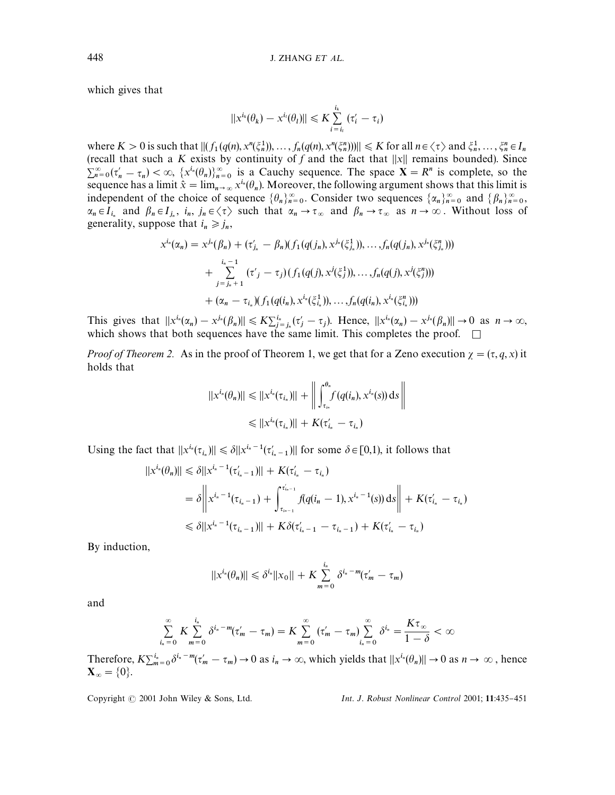which gives that

$$
||x^{i_k}(\theta_k) - x^{i_l}(\theta_l)|| \leq K \sum_{i=i_l}^{i_k} (\tau'_i - \tau_i)
$$

where  $K > 0$  is such that  $|| (f_1(q(n), x^n(\xi_n^1)), \dots, f_n(q(n), x^n(\xi_n^n))) || \leq K$  for all  $n \in \langle \tau \rangle$  and  $\xi_n^1, \dots, \xi_n^n \in I_n$ (recall that such a *K* exists by continuity of *f* and the fact that  $||x||$  remains bounded). Since  $\sum_{n=0}^{\infty} (\tau'_n - \tau_n) < \infty$ ,  $\{x^{i_n}(\theta_n)\}_{n=0}^{\infty}$  is a Cauchy sequence. The space  $X = R^n$  is complete, so the sequence has a limit  $\hat{x} = \lim_{n \to \infty} x^{i_n}(\theta_n)$ . Moreover, the following argument shows that this limit is independent of the choice of sequence  $\{\theta_n\}_{n=0}^{\infty}$ . Consider two sequences  $\{\alpha_n\}_{n=0}^{\infty}$  and  $\{\beta_n\}_{n=0}^{\infty}$  $\alpha_n \in I_{i_n}$  and  $\beta_n \in I_{j_n}$ ,  $i_n$ ,  $j_n \in \langle \tau \rangle$  such that  $\alpha_n \to \tau_\infty$  and  $\beta_n \to \tau_\infty$  as  $n \to \infty$ . Without loss of generality, suppose that  $i_n \ge j_n$ ,

$$
x^{i_n}(\alpha_n) = x^{j_n}(\beta_n) + (\tau'_{j_n} - \beta_n)(f_1(q(j_n), x^{j_n}(\xi_{j_n}^1)), \dots, f_n(q(j_n), x^{j_n}(\xi_{j_n}^n)))
$$
  
+ 
$$
\sum_{j=j_n+1}^{i_n-1} (\tau'_{j} - \tau_j)(f_1(q(j), x^{j}(\xi_{j}^1)), \dots, f_n(q(j), x^{j}(\xi_{j}^n)))
$$
  
+ 
$$
(\alpha_n - \tau_{i_n})(f_1(q(i_n), x^{i_n}(\xi_{i_n}^1)), \dots, f_n(q(i_n), x^{i_n}(\xi_{i_n}^n)))
$$

This gives that  $||x^{i_n}(\alpha_n) - x^{j_n}(\beta_n)|| \leq K\sum_{j=1}^{i_n} (\tau'_j - \tau_j)$ . Hence,  $||x^{i_n}(\alpha_n) - x^{j_n}(\beta_n)|| \to 0$  as  $n \to \infty$ , which shows that both sequences have the same limit. This completes the proof.  $\Box$ 

*Proof of Theorem 2.* As in the proof of Theorem 1, we get that for a Zeno execution  $\chi = (\tau, q, x)$  it holds that

$$
||x^{i_n}(\theta_n)|| \leq ||x^{i_n}(\tau_{i_n})|| + \left\| \int_{\tau_{i_n}}^{\theta_n} f(q(i_n), x^{i_n}(s)) ds \right\|
$$
  

$$
\leq ||x^{i_n}(\tau_{i_n})|| + K(\tau'_{i_n} - \tau_{i_n})
$$

Using the fact that  $||x^{i_n}(\tau_{i_n})|| \le \delta ||x^{i_n-1}(\tau'_{i_n-1})||$  for some  $\delta \in [0,1)$ , it follows that

$$
||x^{i_n}(\theta_n)|| \leq \delta ||x^{i_n-1}(\tau'_{i_n-1})|| + K(\tau'_{i_n} - \tau_{i_n})
$$
  
=  $\delta ||x^{i_n-1}(\tau_{i_n-1}) + \int_{\tau_{i_{n-1}}}^{\tau'_{i_{n-1}}} f(q(i_n-1), x^{i_n-1}(s)) ds|| + K(\tau'_{i_n} - \tau_{i_n})$   
 $\leq \delta ||x^{i_n-1}(\tau_{i_n-1})|| + K\delta(\tau'_{i_n-1} - \tau_{i_n-1}) + K(\tau'_{i_n} - \tau_{i_n})$ 

By induction,

$$
||x^{i_n}(\theta_n)|| \leq \delta^{i_n}||x_0|| + K \sum_{m=0}^{i_n} \delta^{i_n-m}(\tau_m' - \tau_m)
$$

and

$$
\sum_{i_n=0}^{\infty} K \sum_{m=0}^{i_n} \delta^{i_n-m} (\tau_m'-\tau_m) = K \sum_{m=0}^{\infty} (\tau_m'-\tau_m) \sum_{i_n=0}^{\infty} \delta^{i_n} = \frac{K\tau_{\infty}}{1-\delta} < \infty
$$

Therefore,  $K\sum_{m=0}^{i_n} \delta^{i_n - m} (\tau'_m - \tau_m) \to 0$  as  $i_n \to \infty$ , which yields that  $||x^{i_n}(\theta_n)|| \to 0$  as  $n \to \infty$ , hence  $\mathbf{X}_{\infty} = \{0\}.$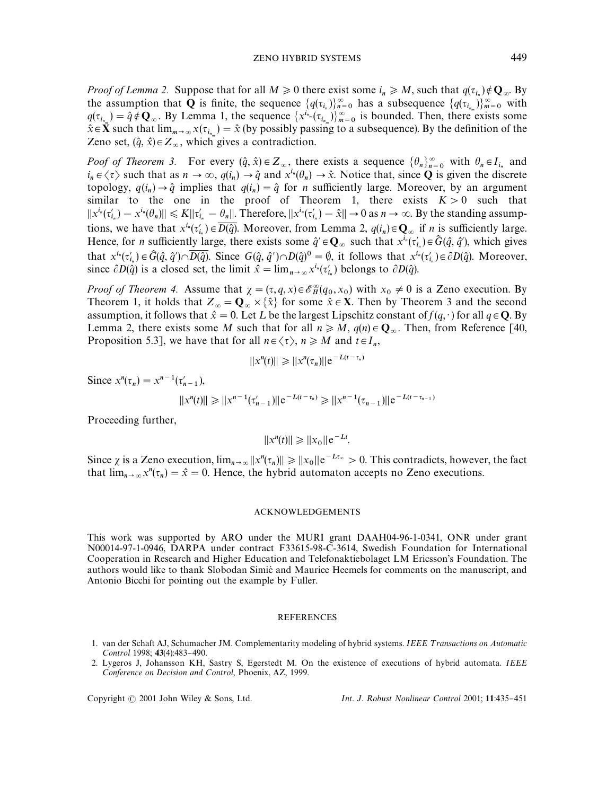*Proof of Lemma 2.* Suppose that for all  $M \ge 0$  there exist some  $i_n \ge M$ , such that  $q(\tau_{i_n}) \notin \mathbf{Q}_{\infty}$ . By the assumption that **Q** is finite, the sequence  $\{q(\tau_{i_n})\}_{n=0}^{\infty}$  has a subsequence  $\{q(\tau_{i_m})\}_{m=0}^{\infty}$  with  $q(\tau_{i_m}) = \hat{q} \notin \mathbf{Q}_{\infty}$ . By Lemma 1, the sequence  $\{x^{i_m}(\tau_{i_m})\}_{m=0}^{\infty}$  is bounded. Then, there exists some  $\hat{\lambda} \in \mathbb{R}$  and that line  $\mathbb{R}^d$  ( $\tau_{i_m}$ ) is bounded. Then, there exists some  $\hat{\lambda} \in \mathbb{R}^d$  $\hat{x} \in \mathbf{X}$  such that  $\lim_{m \to \infty} x(\tau_{i_m}) = \hat{x}$  (by possibly passing to a subsequence). By the definition of the Zeno set,  $(\hat{q}, \hat{x}) \in Z_{\infty}$ , which gives a contradiction.

*Poof of Theorem 3.* For every  $(\hat{q}, \hat{x}) \in Z_{\infty}$ , there exists a sequence  $\{\theta_n\}_{n=0}^{\infty}$  with  $\theta_n \in I_{i_n}$  and  $i_n \in \langle \tau \rangle$  such that as  $n \to \infty$ ,  $q(i_n) \to \hat{q}$  and  $x^{i_n}(\theta_n) \to \hat{x}$ . Notice that, since **Q** is given the discrete topology,  $q(i_n) \rightarrow \hat{q}$  implies that  $q(i_n) = \hat{q}$  for *n* sufficiently large. Moreover, by an argument similar to the one in the proof of Theorem 1, there exists  $K > 0$  such that  $||x^{i_n}(\tau'_{i_n}) - x^{i_n}(\theta_n)|| \leq K||\tau'_{i_n} - \theta_n||$ . Therefore,  $||x^{i_n}(\tau'_{i_n}) - \hat{x}|| \to 0$  as  $n \to \infty$ . By the standing assumptions, we have that  $x^{i_n}(\tau'_{i_n}) \in \overline{D(\hat{q})}$ . Moreover, from Lemma 2,  $q(i_n) \in \mathbb{Q}_{\infty}$  if *n* is sufficiently large. Hence, for *n* sufficiently large, there exists some  $\hat{q}' \in \mathbf{Q}_{\infty}$  such that  $x^{\overline{t}_n}(\tau'_{t_n}) \in \hat{G}(\hat{q}, \hat{q}')$ , which gives that  $x^{i_n}(\tau'_{i_n}) \in \hat{G}(\hat{q}, \hat{q}') \cap \overline{D(\hat{q})}$ . Since  $G(\hat{q}, \hat{q}') \cap D(\hat{q})^0 = \emptyset$ , it follows that  $x^{i_n}(\tau'_{i_n}) \in \partial D(\hat{q})$ . Moreover, since  $\partial D(\hat{q})$  is a closed set, the limit  $\hat{x} = \lim_{n \to \infty} x^{i_n} (\tau'_{i_n})$  belongs to  $\partial D(\hat{q})$ .

*Proof of Theorem 4.* Assume that  $\chi = (\tau, q, x) \in \mathcal{E}_H^{\infty}(q_0, x_0)$  with  $x_0 \neq 0$  is a Zeno execution. By Theorem 1, it holds that  $Z_{\infty} = \mathbf{Q}_{\infty} \times \{\hat{x}\}\$  for some  $\hat{x} \in \mathbf{X}$ . Then by Theorem 3 and the second assumption, it follows that  $\hat{x} = 0$ . Let L be the largest Lipschitz constant of  $f(q, \cdot)$  for all  $q \in \mathbb{Q}$ . By Lemma 2, there exists some *M* such that for all  $n \ge M$ ,  $q(n) \in \mathbb{Q}_{\infty}$ . Then, from Reference [40, Proposition 5.3], we have that for all  $n \in \langle \tau \rangle$ ,  $n \ge M$  and  $t \in I_n$ ,

$$
||x^n(t)|| \geq ||x^n(\tau_n)||e^{-L(t-\tau_n)}
$$

Since  $x^n(\tau_n) = x^{n-1}(\tau'_{n-1}),$ 

 $||x^n(t)|| \ge ||x^{n-1}(\tau'_{n-1})||e^{-L(t-\tau_n)} \ge ||x^{n-1}(\tau_{n-1})||e^{-L(t-\tau_{n-1})}$ 

Proceeding further,

$$
||x^n(t)|| \ge ||x_0|| e^{-Lt}.
$$

Since  $\chi$  is a Zeno execution,  $\lim_{n\to\infty} ||x^n(\tau_n)|| \ge ||x_0|| e^{-Lt_{\tau_n}} > 0$ . This contradicts, however, the fact that  $\lim_{n\to\infty} x^n(\tau_n) = \hat{x} = 0$ . Hence, the hybrid automaton accepts no Zeno executions.

#### ACKNOWLEDGEMENTS

This work was supported by ARO under the MURI grant DAAH04-96-1-0341, ONR under grant N00014-97-1-0946, DARPA under contract F33615-98-C-3614, Swedish Foundation for International Cooperation in Research and Higher Education and Telefonaktiebolaget LM Ericsson's Foundation. The authors would like to thank Slobodan Simic and Maurice Heemels for comments on the manuscript, and Antonio Bicchi for pointing out the example by Fuller.

#### REFERENCES

- 1. van der Schaft AJ, Schumacher JM. Complementarity modeling of hybrid systems. *IEEE Transactions on Automatic Control* 1998; 43(4):483-490.
- 2. Lygeros J, Johansson KH, Sastry S, Egerstedt M. On the existence of executions of hybrid automata. *IEEE Conference on Decision andControl*, Phoenix, AZ, 1999.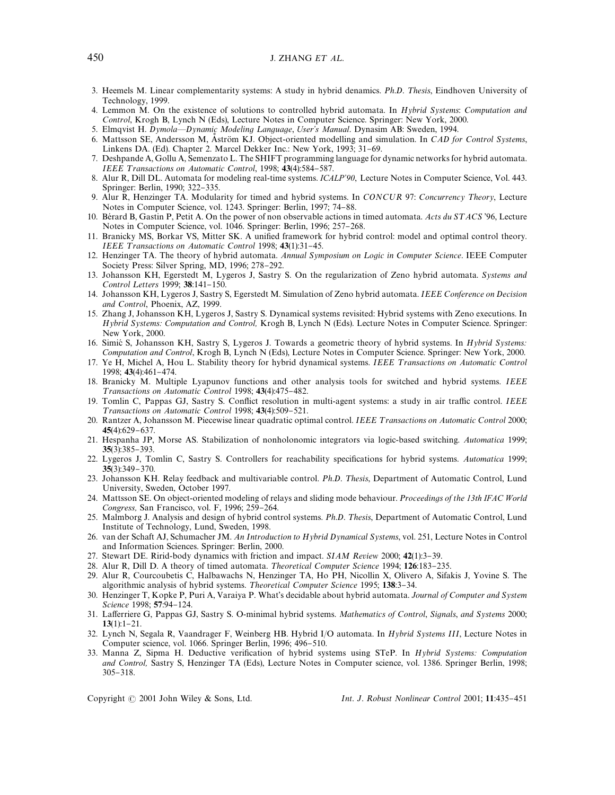## 450 **J. ZHANG** *ET AL***.**

- 3. Heemels M. Linear complementarity systems: A study in hybrid denamics. *Ph.D. Thesis*, Eindhoven University of Technology, 1999.
- 4. Lemmon M. On the existence of solutions to controlled hybrid automata. In *HybridSystems*: *Computation and Control*, Krogh B, Lynch N (Eds), Lecture Notes in Computer Science. Springer: New York, 2000.
- 5. Elmqvist H. *Dymola—Dynamic Modeling Language, User's Manual*. Dynasim AB: Sweden, 1994.
- 6. Mattsson SE, Andersson M, Aström KJ. Object-oriented modelling and simulation. In *CAD for Control Systems*, Linkens DA. (Ed). Chapter 2. Marcel Dekker Inc.: New York, 1993; 31-69.
- 7. Deshpande A, Gollu A, Semenzato L. The SHIFT programming language for dynamic networks for hybrid automata. *IEEE* Transactions on Automatic Control, 1998; 43(4):584-587.
- 8. Alur R, Dill DL. Automata for modeling real-time systems. *ICALP*+*90*, Lecture Notes in Computer Science, Vol. 443. Springer: Berlin, 1990; 322-335.
- 9. Alur R, Henzinger TA. Modularity for timed and hybrid systems. In *CONCUR* 97: *Concurrency Theory*, Lecture Notes in Computer Science, vol. 1243. Springer: Berlin, 1997; 74-88.
- 10. Bérard B, Gastin P, Petit A. On the power of non observable actions in timed automata. *Acts du STACS* '96, Lecture Notes in Computer Science, vol. 1046. Springer: Berlin, 1996; 257-268.
- 11. Branicky MS, Borkar VS, Mitter SK. A unified framework for hybrid control: model and optimal control theory. *IEEE Transactions on Automatic Control 1998*; 43(1):31-45.
- 12. Henzinger TA. The theory of hybrid automata. *Annual Symposium on Logic in Computer Science*. IEEE Computer Society Press: Silver Spring, MD, 1996; 278-292.
- 13. Johansson KH, Egerstedt M, Lygeros J, Sastry S. On the regularization of Zeno hybrid automata. *Systems and Control Letters* 1999; 38:141-150.
- 14. Johansson KH, Lygeros J, Sastry S, Egerstedt M. Simulation of Zeno hybrid automata. *IEEE Conference on Decision andControl*, Phoenix, AZ, 1999.
- 15. Zhang J, Johansson KH, Lygeros J, Sastry S. Dynamical systems revisited: Hybrid systems with Zeno executions. In *Hybrid Systems: Computation and Control, Krogh B, Lynch N (Eds). Lecture Notes in Computer Science. Springer:* New York, 2000.
- 16. Simic S, Johansson KH, Sastry S, Lygeros J. Towards a geometric theory of hybrid systems. In *Hybrid Systems: Computation and Control*, Krogh B, Lynch N (Eds), Lecture Notes in Computer Science. Springer: New York, 2000.
- 17. Ye H, Michel A, Hou L. Stability theory for hybrid dynamical systems. *IEEE Transactions on Automatic Control* 1998: 43(4):461-474.
- 18. Branicky M. Multiple Lyapunov functions and other analysis tools for switched and hybrid systems. *IEEE Transactions on Automatic Control* 1998; 43(4):475-482.
- 19. Tomlin C, Pappas GJ, Sastry S. Conflict resolution in multi-agent systems: a study in air traffic control. *IEEE Transactions on Automatic Control 1998*; 43(4):509-521.
- 20. Rantzer A, Johansson M. Piecewise linear quadratic optimal control. *IEEE Transactions on Automatic Control* 2000;  $45(4):629-637.$
- 21. Hespanha JP, Morse AS. Stabilization of nonholonomic integrators via logic-based switching. *Automatica* 1999; **35**(3):385–393.
- 22. Lygeros J, Tomlin C, Sastry S. Controllers for reachability specifications for hybrid systems. *Automatica* 1999;  $35(3):349-370.$
- 23. Johansson KH. Relay feedback and multivariable control. *Ph.D. Thesis*, Department of Automatic Control, Lund University, Sweden, October 1997.
- 24. Mattsson SE. On object-oriented modeling of relays and sliding mode behaviour. *Proceedings of the 13th IFAC World Congress,* San Francisco, vol. F, 1996; 259-264.
- 25. Malmborg J. Analysis and design of hybrid control systems. *Ph.D. Thesis*, Department of Automatic Control, Lund Institute of Technology, Lund, Sweden, 1998.
- 26. van der Schaft AJ, Schumacher JM. *An Introduction to Hybrid Dynamical Systems*, vol. 251, Lecture Notes in Control and Information Sciences. Springer: Berlin, 2000.
- 27. Stewart DE. Ririd-body dynamics with friction and impact. *SIAM Review* 2000; 42(1):3–39.
- 28. Alur R, Dill D. A theory of timed automata. *Theoretical Computer Science* 1994; 126:183-235.
- 29. Alur R, Courcoubetis C, Halbawachs N, Henzinger TA, Ho PH, Nicollin X, Olivero A, Sifakis J, Yovine S. The algorithmic analysis of hybrid systems. *Theoretical Computer Science* 1995; 138:3-34.
- 30. Henzinger T, Kopke P, Puri A, Varaiya P. What's decidable about hybrid automata. *Journal of Computer andSystem Science* 1998; 57:94-124.
- 31. La!erriere G, Pappas GJ, Sastry S. O-minimal hybrid systems. *Mathematics of Control*, *Signals*, *andSystems* 2000;  $13(1):1-21.$
- 32. Lynch N, Segala R, Vaandrager F, Weinberg HB. Hybrid I/O automata. In *Hybrid Systems III*, Lecture Notes in Computer science, vol. 1066. Springer Berlin, 1996; 496-510.
- 33. Manna Z, Sipma H. Deductive verification of hybrid systems using STeP. In *Hybrid Systems: Computation and Control,* Sastry S, Henzinger TA (Eds), Lecture Notes in Computer science, vol. 1386. Springer Berlin, 1998; 305-318.